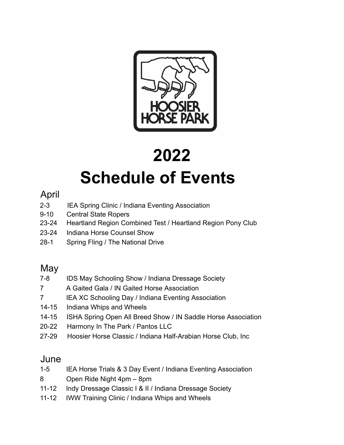

# **2022 Schedule of Events**

## April

- 2-3 IEA Spring Clinic / Indiana Eventing Association
- 9-10 Central State Ropers
- 23-24 Heartland Region Combined Test / Heartland Region Pony Club
- 23-24 Indiana Horse Counsel Show
- 28-1 Spring Fling / The National Drive

## **May**

- 7-8 IDS May Schooling Show / Indiana Dressage Society
- 7 A Gaited Gala / IN Gaited Horse Association
- 7 **IEA XC Schooling Day / Indiana Eventing Association**
- 14-15 Indiana Whips and Wheels
- 14-15 ISHA Spring Open All Breed Show / IN Saddle Horse Association
- 20-22 Harmony In The Park / Pantos LLC
- 27-29 Hoosier Horse Classic / Indiana Half-Arabian Horse Club, Inc

## June

- 1-5 IEA Horse Trials & 3 Day Event / Indiana Eventing Association
- 8 Open Ride Night 4pm 8pm
- 11-12 Indy Dressage Classic I & II / Indiana Dressage Society
- 11-12 IWW Training Clinic / Indiana Whips and Wheels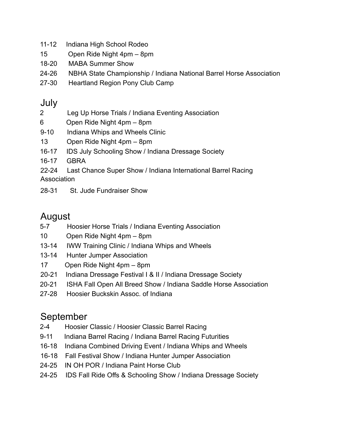- 11-12 Indiana High School Rodeo
- 15 Open Ride Night 4pm 8pm
- 18-20 MABA Summer Show
- 24-26 NBHA State Championship / Indiana National Barrel Horse Association
- 27-30 Heartland Region Pony Club Camp

#### July

- 2 Leg Up Horse Trials / Indiana Eventing Association
- 6 Open Ride Night 4pm 8pm
- 9-10 Indiana Whips and Wheels Clinic
- 13 Open Ride Night 4pm 8pm
- 16-17 IDS July Schooling Show / Indiana Dressage Society
- 16-17 GBRA

22-24 Last Chance Super Show / Indiana International Barrel Racing **Association** 

28-31 St. Jude Fundraiser Show

## August

- 5-7 Hoosier Horse Trials / Indiana Eventing Association
- 10 Open Ride Night 4pm 8pm
- 13-14 IWW Training Clinic / Indiana Whips and Wheels
- 13-14 Hunter Jumper Association
- 17 Open Ride Night 4pm 8pm
- 20-21 Indiana Dressage Festival I & II / Indiana Dressage Society
- 20-21 ISHA Fall Open All Breed Show / Indiana Saddle Horse Association
- 27-28 Hoosier Buckskin Assoc. of Indiana

### September

- 2-4 Hoosier Classic / Hoosier Classic Barrel Racing
- 9-11 Indiana Barrel Racing / Indiana Barrel Racing Futurities
- 16-18 Indiana Combined Driving Event / Indiana Whips and Wheels
- 16-18 Fall Festival Show / Indiana Hunter Jumper Association
- 24-25 IN OH POR / Indiana Paint Horse Club
- 24-25 IDS Fall Ride Offs & Schooling Show / Indiana Dressage Society